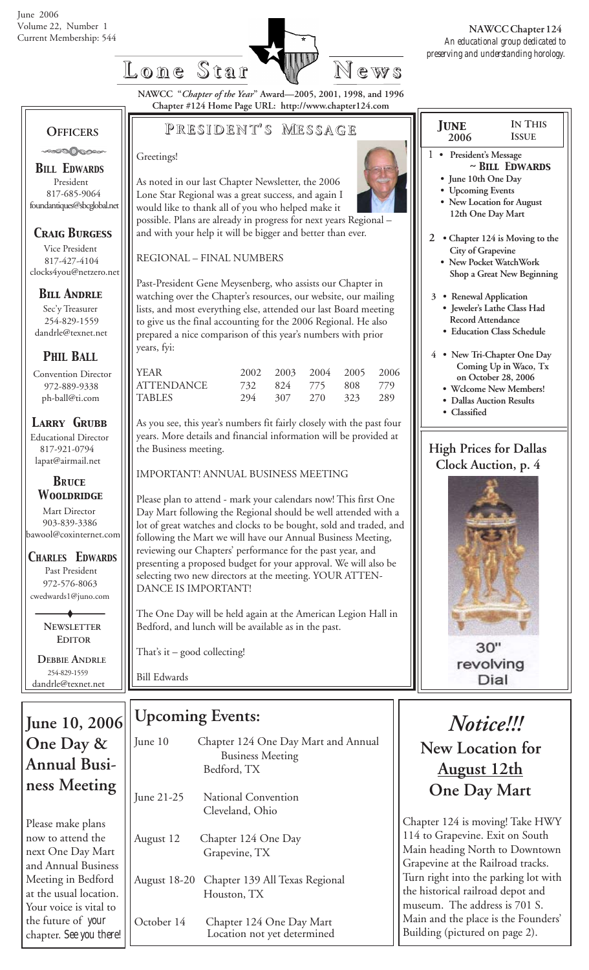

**NAWCC "***Chapter of the Year***" Award—2005, 2001, 1998, and 1996 Chapter #124 Home Page URL: http://www.chapter124.com**

#### **OFFICERS** ಿಂದಿ⊘ಾಂ

*BILL EDWARDS* President 817-685-9064 foundantiques@sbcglobal.net

### *Craig Burgess*

 Vice President 817-427-4104 clocks4you@netzero.net

### *Bill Andrle*

 Sec'y Treasurer 254-829-1559 dandrle@texnet.net

### *PHIL BALL*

 Convention Director 972-889-9338 ph-ball@ti.com

### *Larry Grubb*

Educational Director 817-921-0794 lapat@airmail.net

#### *BRuce Wooldridge*

 Mart Director 903-839-3386 bawool@coxinternet.com

*CHARLES EDWARDS* Past President 972-576-8063 cwedwards1@juno.com

> **NEWSLETTER EDITOR**

 **DEBBIE ANDRLE** 254-829-1559 dandrle@texnet.net

### **June 10, 2006 One Day & Annual Business Meeting**

Please make plans now to attend the next One Day Mart and Annual Business Meeting in Bedford at the usual location. Your voice is vital to the future of *your*

# **P RESIDENT RESIDENT' S M ESSAGE**

#### Greetings!

As noted in our last Chapter Newsletter, the 2006 Lone Star Regional was a great success, and again I would like to thank all of you who helped make it possible. Plans are already in progress for next years Regional – and with your help it will be bigger and better than ever.

REGIONAL – FINAL NUMBERS

Past-President Gene Meysenberg, who assists our Chapter in watching over the Chapter's resources, our website, our mailing lists, and most everything else, attended our last Board meeting to give us the final accounting for the 2006 Regional. He also prepared a nice comparison of this year's numbers with prior years, fyi:

| l year     |     | 2002 2003 2004 2005 2006 |  |
|------------|-----|--------------------------|--|
| ATTENDANCE |     | 732 824 775 808 779      |  |
| TABLES     | 294 | 307 270 323 289          |  |

As you see, this year's numbers fit fairly closely with the past four years. More details and financial information will be provided at the Business meeting.

### IMPORTANT! ANNUAL BUSINESS MEETING

Please plan to attend - mark your calendars now! This first One Day Mart following the Regional should be well attended with a lot of great watches and clocks to be bought, sold and traded, and following the Mart we will have our Annual Business Meeting, reviewing our Chapters' performance for the past year, and presenting a proposed budget for your approval. We will also be selecting two new directors at the meeting. YOUR ATTEN-DANCE IS IMPORTANT!

The One Day will be held again at the American Legion Hall in Bedford, and lunch will be available as in the past.

That's it – good collecting!

Bill Edwards

### **Upcoming Events:**

| June 10      | Chapter 124 One Day Mart and Annual<br><b>Business Meeting</b><br>Bedford, TX |
|--------------|-------------------------------------------------------------------------------|
| June $21-25$ | National Convention<br>Cleveland, Ohio                                        |
| August 12    | Chapter 124 One Day<br>Grapevine, TX                                          |
|              | August 18-20 Chapter 139 All Texas Regional<br>Houston, TX                    |
|              |                                                                               |

October 14 Chapter 124 One Day Mart chapter. *See you there!* | Location not yet determined

| <b>JUNE</b>                   | IN THIS                          |
|-------------------------------|----------------------------------|
| 2006                          | <b>ISSUE</b>                     |
|                               |                                  |
| 1<br>President's Message      |                                  |
|                               | $~\sim$ BILL EDWARDS             |
| • June 10th One Day           |                                  |
| • Upcoming Events             |                                  |
|                               | New Location for August          |
| 12th One Day Mart             |                                  |
|                               |                                  |
|                               | 2 • Chapter 124 is Moving to the |
| City of Grapevine             |                                  |
|                               | New Pocket WatchWork             |
|                               | Shop a Great New Beginning       |
|                               |                                  |
| 3 • Renewal Application       |                                  |
|                               | · Jeweler's Lathe Class Had      |
| <b>Record Attendance</b>      |                                  |
|                               | • Education Class Schedule       |
|                               |                                  |
|                               | 4 • New Tri-Chapter One Day      |
|                               | Coming Up in Waco, Tx            |
|                               | on October 28, 2006              |
|                               | · Wclcome New Members!           |
| · Dallas Auction Results      |                                  |
| • Classified                  |                                  |
|                               |                                  |
| <b>High Prices for Dallas</b> |                                  |
| Clock Auction, p. 4           |                                  |
|                               |                                  |
|                               |                                  |
|                               |                                  |
|                               |                                  |
|                               |                                  |
|                               |                                  |
|                               |                                  |
|                               |                                  |
|                               |                                  |
|                               |                                  |
|                               |                                  |

 $30"$ revolving Dial

# *Notice!!!*  **New Location for August 12th**

# **One Day Mart**

Chapter 124 is moving! Take HWY 114 to Grapevine. Exit on South Main heading North to Downtown Grapevine at the Railroad tracks. Turn right into the parking lot with the historical railroad depot and museum. The address is 701 S. Main and the place is the Founders' Building (pictured on page 2).

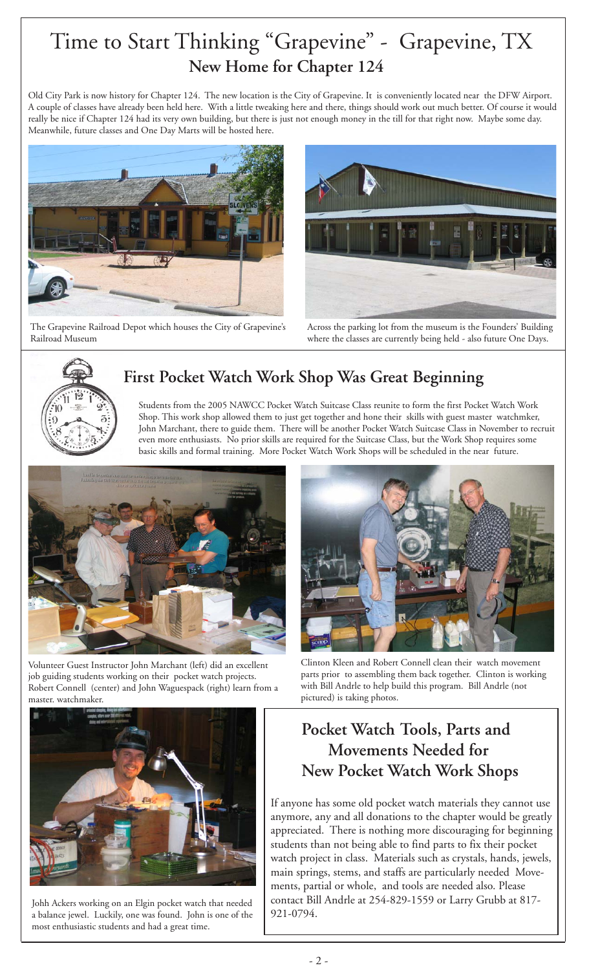# Time to Start Thinking "Grapevine" - Grapevine, TX  **New Home for Chapter 124**

Old City Park is now history for Chapter 124. The new location is the City of Grapevine. It is conveniently located near the DFW Airport. A couple of classes have already been held here. With a little tweaking here and there, things should work out much better. Of course it would really be nice if Chapter 124 had its very own building, but there is just not enough money in the till for that right now. Maybe some day. Meanwhile, future classes and One Day Marts will be hosted here.



The Grapevine Railroad Depot which houses the City of Grapevine's Railroad Museum



Across the parking lot from the museum is the Founders' Building where the classes are currently being held - also future One Days.



# **First Pocket Watch Work Shop Was Great Beginning**

Students from the 2005 NAWCC Pocket Watch Suitcase Class reunite to form the first Pocket Watch Work Shop. This work shop allowed them to just get together and hone their skills with guest master watchmker, John Marchant, there to guide them. There will be another Pocket Watch Suitcase Class in November to recruit even more enthusiasts. No prior skills are required for the Suitcase Class, but the Work Shop requires some basic skills and formal training. More Pocket Watch Work Shops will be scheduled in the near future.



Volunteer Guest Instructor John Marchant (left) did an excellent job guiding students working on their pocket watch projects. Robert Connell (center) and John Waguespack (right) learn from a master. watchmaker.



Clinton Kleen and Robert Connell clean their watch movement parts prior to assembling them back together. Clinton is working with Bill Andrle to help build this program. Bill Andrle (not pictured) is taking photos.

# **Pocket Watch Tools, Parts and Movements Needed for New Pocket Watch Work Shops**

If anyone has some old pocket watch materials they cannot use anymore, any and all donations to the chapter would be greatly appreciated. There is nothing more discouraging for beginning students than not being able to find parts to fix their pocket watch project in class. Materials such as crystals, hands, jewels, main springs, stems, and staffs are particularly needed Movements, partial or whole, and tools are needed also. Please contact Bill Andrle at 254-829-1559 or Larry Grubb at 817- 921-0794.



Johh Ackers working on an Elgin pocket watch that needed a balance jewel. Luckily, one was found. John is one of the most enthusiastic students and had a great time.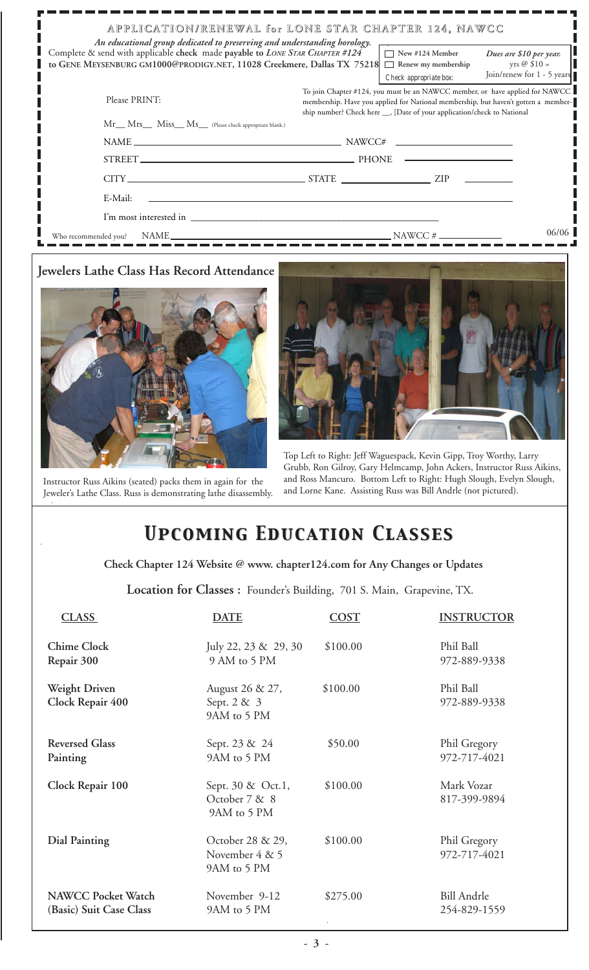| An educational group dedicated to preserving and understanding horology.<br>Complete & send with applicable check made payable to LONE STAR CHAPTER #124<br>to GENE MEYSENBURG GM1000@PRODIGY.NET, 11028 Creekmere, Dallas TX 75218 | APPLICATION/RENEWAL for LONE STAR CHAPTER 124, NAWCC<br>$\Box$ New #124 Member<br>Renew my membership                                                                                                                                                                   | Dues are \$10 per year.<br>yrs $@$ \$10 =<br>Join/renew for 1 - 5 years |
|-------------------------------------------------------------------------------------------------------------------------------------------------------------------------------------------------------------------------------------|-------------------------------------------------------------------------------------------------------------------------------------------------------------------------------------------------------------------------------------------------------------------------|-------------------------------------------------------------------------|
| Please PRINT:<br>Mr Mrs Miss Ms (Please check appropriate blank.)                                                                                                                                                                   | Check appropriate box:<br>To join Chapter #124, you must be an NAWCC member, or have applied for NAWCC<br>membership. Have you applied for National membership, but haven't gotten a member-<br>ship number? Check here __, [Date of your application/check to National |                                                                         |
|                                                                                                                                                                                                                                     | $NAME \_\_\_\_\_\_$                                                                                                                                                                                                                                                     |                                                                         |
|                                                                                                                                                                                                                                     |                                                                                                                                                                                                                                                                         |                                                                         |
|                                                                                                                                                                                                                                     | $CITY$ $ZIP$ $ZIP$ $ZIP$                                                                                                                                                                                                                                                |                                                                         |
| E-Mail:                                                                                                                                                                                                                             |                                                                                                                                                                                                                                                                         |                                                                         |
| I'm most interested in                                                                                                                                                                                                              |                                                                                                                                                                                                                                                                         |                                                                         |
| Who recommended you?                                                                                                                                                                                                                | $NAWCC \#$                                                                                                                                                                                                                                                              | 06/06                                                                   |

### **Jewelers Lathe Class Has Record Attendance**



Instructor Russ Aikins (seated) packs them in again for the Jeweler's Lathe Class. Russ is demonstrating lathe disassembly.



Top Left to Right: Jeff Waguespack, Kevin Gipp, Troy Worthy, Larry Grubb, Ron Gilroy, Gary Helmcamp, John Ackers, Instructor Russ Aikins, and Ross Mancuro. Bottom Left to Right: Hugh Slough, Evelyn Slough, and Lorne Kane. Assisting Russ was Bill Andrle (not pictured).

# *Upcoming Education Classes Upcoming Education Classes*

 **Check Chapter 124 Website @ www. chapter124.com for Any Changes or Updates**

 **Location for Classes :** Founder's Building, 701 S. Main, Grapevine, TX.

| <b>CLASS</b>                                         | <b>DATE</b>                                       | <b>COST</b> | <b>INSTRUCTOR</b>                  |
|------------------------------------------------------|---------------------------------------------------|-------------|------------------------------------|
| <b>Chime Clock</b><br>Repair 300                     | July 22, 23 & 29, 30<br>9 AM to 5 PM              | \$100.00    | Phil Ball<br>972-889-9338          |
| <b>Weight Driven</b><br>Clock Repair 400             | August 26 & 27,<br>Sept. 2 & 3<br>9AM to 5 PM     | \$100.00    | Phil Ball<br>972-889-9338          |
| <b>Reversed Glass</b><br>Painting                    | Sept. 23 & 24<br>9AM to 5 PM                      | \$50.00     | Phil Gregory<br>972-717-4021       |
| Clock Repair 100                                     | Sept. 30 & Oct.1,<br>October 7 & 8<br>9AM to 5 PM | \$100.00    | Mark Vozar<br>817-399-9894         |
| Dial Painting                                        | October 28 & 29,<br>November 4 & 5<br>9AM to 5 PM | \$100.00    | Phil Gregory<br>972-717-4021       |
| <b>NAWCC Pocket Watch</b><br>(Basic) Suit Case Class | November 9-12<br>9AM to 5 PM                      | \$275.00    | <b>Bill Andrle</b><br>254-829-1559 |